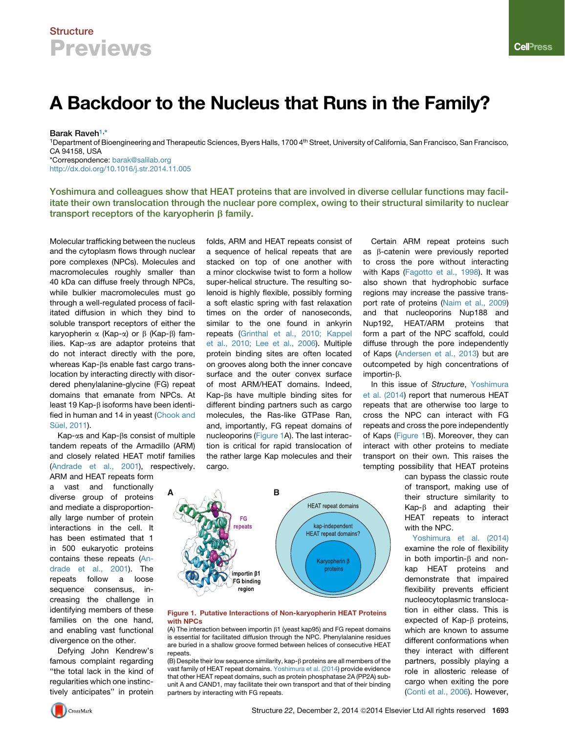## **Structure Previews**

# A Backdoor to the Nucleus that Runs in the Family?

Barak Raveh<sup>1,\*</sup>

<sup>1</sup>Department of Bioengineering and Therapeutic Sciences, Byers Halls, 1700 4<sup>th</sup> Street, University of California, San Francisco, San Francisco, CA 94158, USA \*Correspondence: [barak@salilab.org](mailto:barak@salilab.org) <http://dx.doi.org/10.1016/j.str.2014.11.005>

Yoshimura and colleagues show that HEAT proteins that are involved in diverse cellular functions may facilitate their own translocation through the nuclear pore complex, owing to their structural similarity to nuclear transport receptors of the karyopherin  $\beta$  family.

Molecular trafficking between the nucleus and the cytoplasm flows through nuclear pore complexes (NPCs). Molecules and macromolecules roughly smaller than 40 kDa can diffuse freely through NPCs, while bulkier macromolecules must go through a well-regulated process of facilitated diffusion in which they bind to soluble transport receptors of either the karyopherin  $\alpha$  (Kap- $\alpha$ ) or  $\beta$  (Kap- $\beta$ ) families. Kap-as are adaptor proteins that do not interact directly with the pore, whereas Kap- $\beta$ s enable fast cargo translocation by interacting directly with disordered phenylalanine-glycine (FG) repeat domains that emanate from NPCs. At least 19 Kap-B isoforms have been identified in human and 14 in yeast [\(Chook and](#page-1-0) Sü[el, 2011](#page-1-0)).

 $Kap-\alpha s$  and  $Kap-\beta s$  consist of multiple tandem repeats of the Armadillo (ARM) and closely related HEAT motif families [\(Andrade et al., 2001](#page-1-0)), respectively.

ARM and HEAT repeats form vast and functionally diverse group of proteins and mediate a disproportionally large number of protein interactions in the cell. It has been estimated that 1 in 500 eukaryotic proteins contains these repeats ([An](#page-1-0)[drade et al., 2001\)](#page-1-0). The repeats follow a loose sequence consensus, increasing the challenge in identifying members of these families on the one hand, and enabling vast functional divergence on the other.

Defying John Kendrew's famous complaint regarding ''the total lack in the kind of regularities which one instinctively anticipates'' in protein folds, ARM and HEAT repeats consist of a sequence of helical repeats that are stacked on top of one another with a minor clockwise twist to form a hollow super-helical structure. The resulting solenoid is highly flexible, possibly forming a soft elastic spring with fast relaxation times on the order of nanoseconds, similar to the one found in ankyrin repeats ([Grinthal et al., 2010; Kappel](#page-1-0) [et al., 2010; Lee et al., 2006](#page-1-0)). Multiple protein binding sites are often located on grooves along both the inner concave surface and the outer convex surface of most ARM/HEAT domains. Indeed, Kap-bs have multiple binding sites for different binding partners such as cargo molecules, the Ras-like GTPase Ran, and, importantly, FG repeat domains of nucleoporins (Figure 1A). The last interaction is critical for rapid translocation of the rather large Kap molecules and their cargo.



In this issue of *Structure*, [Yoshimura](#page-1-0) [et al. \(2014](#page-1-0)) report that numerous HEAT repeats that are otherwise too large to cross the NPC can interact with FG repeats and cross the pore independently of Kaps (Figure 1B). Moreover, they can interact with other proteins to mediate transport on their own. This raises the tempting possibility that HEAT proteins

> can bypass the classic route of transport, making use of their structure similarity to  $Kap-\beta$  and adapting their HEAT repeats to interact with the NPC.

> [Yoshimura et al. \(2014\)](#page-1-0) examine the role of flexibility in both importin- $\beta$  and nonkap HEAT proteins and demonstrate that impaired flexibility prevents efficient nucleocytoplasmic translocation in either class. This is expected of  $Kap-\beta$  proteins, which are known to assume different conformations when they interact with different partners, possibly playing a role in allosteric release of cargo when exiting the pore [\(Conti et al., 2006\)](#page-1-0). However,

**A B HEAT** repeat domains **FG** peats kap-independent **HEAT** repeat domains? Karyopherin β proteins mportin <sub>61</sub> FG binding region

#### Figure 1. Putative Interactions of Non-karyopherin HEAT Proteins with NPCs

(A) The interaction between importin  $\beta$ 1 (yeast kap95) and FG repeat domains is essential for facilitated diffusion through the NPC. Phenylalanine residues are buried in a shallow groove formed between helices of consecutive HEAT repeats.

 $(B)$  Despite their low sequence similarity, kap- $\beta$  proteins are all members of the vast family of HEAT repeat domains. [Yoshimura et al. \(2014\)](#page-1-0) provide evidence that other HEAT repeat domains, such as protein phosphatase 2A (PP2A) subunit A and CAND1, may facilitate their own transport and that of their binding partners by interacting with FG repeats.